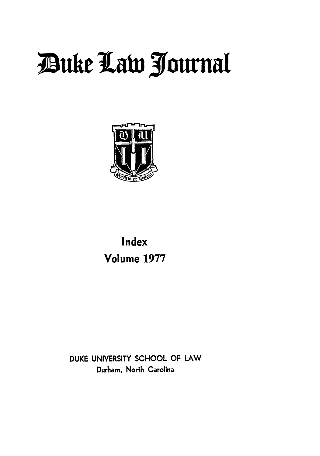# **Z3uke la 3ournal**



## **Index Volume 1977**

**DUKE UNIVERSITY SCHOOL** OF LAW Durham, North Carolina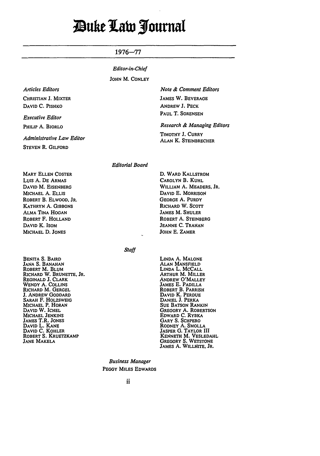## ;uke 1abi **1fournat**

#### 1976-77

#### *Editor-in-Chief*

#### **JOHN** M. **CONLEY**

| <b>Articles Editors</b> |  |
|-------------------------|--|
| CHRISTIAN J. MIXTER     |  |
| DAVID C. PISHKO         |  |

*Executive Editor*

PHILIP **A.** BiORLO

*Administrative Law Editor*

**STEVEN** R. GILFORD

#### *Note & Comment Editors*

JAMES W. BEVERAGE ANDREW **J.** PECK PAUL T. SORENSEN

#### *Research & Managing Editors*

TIMOTHY **J.** CURRY **ALAN** K. STEINBRECHER

#### Editorial Board

MARY **ELLEN** COSTER **Luis A. DE** ARMAS DAVID M. EISENBERG MICHAEL A. **ELLIS** ROBERT B. ELWOOD. JR. KATHRYN A. GIBBONS ALMA TINA HOGAN ROBERT F. **HOLLAND DAVID** K. ISOM MICHAEL **D. JONES**

**D.** WARD KALLSTROM CAROLYN B. KUHL WILLIAM **A.** MEADERS, JR. DAVID E. MORRISON GEORGE A. PURDY RICHARD W. **SCOTT JAMES** M. **SHULER** ROBERT A. STEINBERG JEANNE **C.** TRAHAN **JOHN E.** ZAMER

**Staff** 

BENITA **S.** BAIRD JANA **S.** BANAHAN ROBERT M. BLUM RICHARD W. **BRUNETTE,** JR. REGINALD J. CLARK WENDY **A.** COLLINS RICHARD M. GERGEL **J.** ANDREW GODDARD SARAH F. HOLZSWEIG MICHAEL P. HORAN DAVID W. **ICHEL MICHAEL JENKINS** JAMES T.R. **JONES** DAVID L. **KANE** DAVID C. KOHLER ROBERT S. KRUETZKAMP JANE MAKELA

LINDA A. MALONE ALAN MANSFIELD LINDA L. MCCALL ARTHUR M. MILLER ANDREW O'MALLEY JAMES E. PADILLA ROBERT B. PARRISH DAVID K. PERDUE DANIEL **J. PERKA** SUE **BATSON** RANKIN GREGORY **A.** ROBERTSON EDWARD C. RYBKA GARY **S.** SCHPERO RODNEY **A. SMOLLA JASPER G.** TAYLOR **III KENNETH** M. **VESLEDAHL** GREGORY **S. WETSTONE** JAMES **A.** WILLHITE, JR.

Business Manager **PEGGY** MILES EDWARDS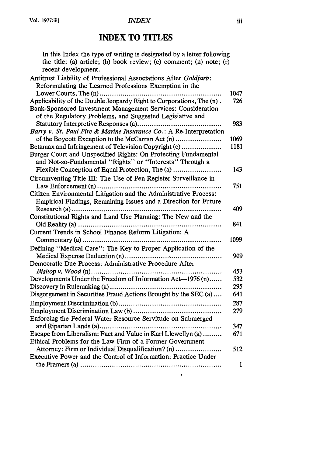## **INDEX TO TITLES**

| In this Index the type of writing is designated by a letter following<br>the title: (a) article; (b) book review; (c) comment; (n) note; (r) |      |
|----------------------------------------------------------------------------------------------------------------------------------------------|------|
| recent development.                                                                                                                          |      |
| Antitrust Liability of Professional Associations After Goldfarb:                                                                             |      |
| Reformulating the Learned Professions Exemption in the                                                                                       |      |
|                                                                                                                                              | 1047 |
| Applicability of the Double Jeopardy Right to Corporations, The (n).                                                                         | 726  |
| Bank-Sponsored Investment Management Services: Consideration<br>of the Regulatory Problems, and Suggested Legislative and                    |      |
|                                                                                                                                              | 983  |
| Barry v. St. Paul Fire & Marine Insurance Co.: A Re-Interpretation                                                                           |      |
| of the Boycott Exception to the McCarran Act (n)                                                                                             | 1069 |
| Betamax and Infringement of Television Copyright (c)                                                                                         | 1181 |
| Burger Court and Unspecified Rights: On Protecting Fundamental<br>and Not-so-Fundamental "Rights" or "Interests" Through a                   |      |
| Flexible Conception of Equal Protection, The (a)                                                                                             | 143  |
| Circumventing Title III: The Use of Pen Register Surveillance in                                                                             |      |
|                                                                                                                                              | 751  |
| Citizen Environmental Litigation and the Administrative Process:                                                                             |      |
| Empirical Findings, Remaining Issues and a Direction for Future                                                                              |      |
|                                                                                                                                              | 409  |
| Constitutional Rights and Land Use Planning: The New and the                                                                                 |      |
|                                                                                                                                              | 841  |
| Current Trends in School Finance Reform Litigation: A                                                                                        |      |
|                                                                                                                                              | 1099 |
| Defining "Medical Care": The Key to Proper Application of the                                                                                |      |
|                                                                                                                                              | 909  |
| Democratic Due Process: Administrative Procedure After                                                                                       |      |
|                                                                                                                                              | 453  |
| Developments Under the Freedom of Information Act-1976 (n)                                                                                   | 532  |
|                                                                                                                                              | 295  |
| Disgorgement in Securities Fraud Actions Brought by the SEC (a)                                                                              | 641  |
|                                                                                                                                              | 287  |
|                                                                                                                                              | 279  |
|                                                                                                                                              |      |
| Enforcing the Federal Water Resource Servitude on Submerged                                                                                  | 347  |
|                                                                                                                                              |      |
| Escape from Liberalism: Fact and Value in Karl Llewellyn (a)<br>Ethical Problems for the Law Firm of a Former Government                     | 671  |
|                                                                                                                                              |      |
| Attorney: Firm or Individual Disqualification? (n)<br>Executive Power and the Control of Information: Practice Under                         | 512  |
|                                                                                                                                              |      |
|                                                                                                                                              | 1    |

 $\bar{\Gamma}$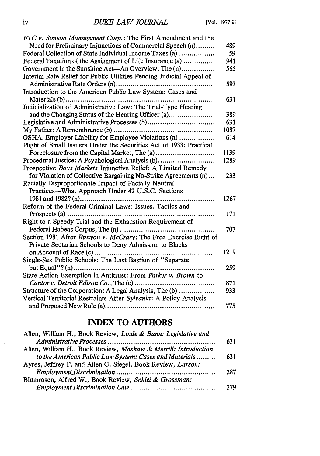| FTC v. Simeon Management Corp.: The First Amendment and the         |      |
|---------------------------------------------------------------------|------|
| Need for Preliminary Injunctions of Commercial Speech (n)           | 489  |
| Federal Collection of State Individual Income Taxes (a)             | 59   |
| Federal Taxation of the Assignment of Life Insurance (a)            | 941  |
| Government in the Sunshine Act—An Overview, The (n)                 | 565  |
| Interim Rate Relief for Public Utilities Pending Judicial Appeal of |      |
|                                                                     | 593  |
| Introduction to the American Public Law System: Cases and           |      |
|                                                                     | 631  |
| Judicialization of Administrative Law: The Trial-Type Hearing       |      |
| and the Changing Status of the Hearing Officer (a)                  | 389  |
|                                                                     | 631  |
|                                                                     | 1087 |
| OSHA: Employer Liability for Employee Violations (n)                | 614  |
| Plight of Small Issuers Under the Securities Act of 1933: Practical |      |
|                                                                     | 1139 |
| Procedural Justice: A Psychological Analysis (b)                    | 1289 |
| Prospective Boys Markets Injunctive Relief: A Limited Remedy        |      |
| for Violation of Collective Bargaining No-Strike Agreements (n)     | 233  |
| Racially Disproportionate Impact of Facially Neutral                |      |
| Practices—What Approach Under 42 U.S.C. Sections                    |      |
|                                                                     | 1267 |
| Reform of the Federal Criminal Laws: Issues, Tactics and            |      |
|                                                                     | 171  |
| Right to a Speedy Trial and the Exhaustion Requirement of           |      |
| Federal Habeas Corpus, The (n)                                      | 707  |
| Section 1981 After Runyon v. McCrary: The Free Exercise Right of    |      |
| Private Sectarian Schools to Deny Admission to Blacks               |      |
| on Account of Race (c)<br>.                                         | 1219 |
| Single-Sex Public Schools: The Last Bastion of "Separate            |      |
|                                                                     | 259  |
| State Action Exemption in Antitrust: From Parker v. Brown to        |      |
|                                                                     | 871  |
| Structure of the Corporation: A Legal Analysis, The (b)             | 933  |
| Vertical Territorial Restraints After Sylvania: A Policy Analysis   |      |
|                                                                     | 775  |
|                                                                     |      |

## **INDEX TO AUTHORS**

| Allen, William H., Book Review, Linde & Bunn: Legislative and  |     |
|----------------------------------------------------------------|-----|
|                                                                | 631 |
| Allen, William H., Book Review, Mashaw & Merrill: Introduction |     |
| to the American Public Law System: Cases and Materials         | 631 |
| Ayres, Jeffrey P. and Allen G. Siegel, Book Review, Larson:    |     |
|                                                                | 287 |
| Blumrosen, Alfred W., Book Review, Schlei & Grossman:          |     |
|                                                                | 279 |

 $\bar{\alpha}$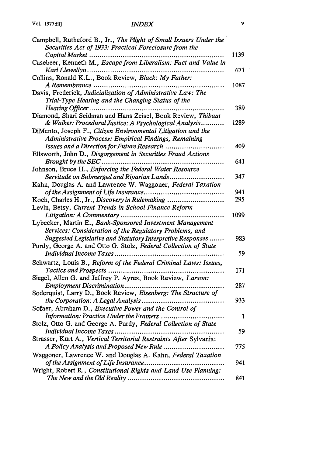| Campbell, Rutheford B., Jr., The Plight of Small Issuers Under the |      |
|--------------------------------------------------------------------|------|
| Securities Act of 1933: Practical Foreclosure from the             |      |
| Capital Market                                                     | 1139 |
| Casebeer, Kenneth M., Escape from Liberalism: Fact and Value in    |      |
| Karl Llewellyn                                                     | 671  |
| Collins, Ronald K.L., Book Review, Black: My Father:               |      |
| A Remembrance                                                      | 1087 |
| Davis, Frederick, Judicialization of Administrative Law: The       |      |
| Trial-Type Hearing and the Changing Status of the                  |      |
| Hearing Officer                                                    | 389  |
| Diamond, Shari Seidman and Hans Zeisel, Book Review, Thibaut       |      |
| & Walker: Procedural Justice: A Psychological Analysis             | 1289 |
| DiMento, Joseph F., Citizen Environmental Litigation and the       |      |
| Administrative Process: Empirical Findings, Remaining              |      |
| Issues and a Direction for Future Research                         | 409  |
| Ellsworth, John D., Disgorgement in Securities Fraud Actions       |      |
| Brought by the SEC                                                 | 641  |
| Johnson, Bruce H., Enforcing the Federal Water Resource            |      |
| Servitude on Submerged and Riparian Lands                          | 347  |
| Kahn, Douglas A. and Lawrence W. Waggoner, Federal Taxation        |      |
|                                                                    | 941  |
| Koch, Charles H., Jr., Discovery in Rulemaking                     | 295  |
| Levin, Betsy, Current Trends in School Finance Reform              |      |
| Litigation: A Commentary                                           | 1099 |
| Lybecker, Martin E., Bank-Sponsored Investment Management          |      |
| Services: Consideration of the Regulatory Problems, and            |      |
| Suggested Legislative and Statutory Interpretive Responses         | 983  |
| Purdy, George A. and Otto G. Stolz, Federal Collection of State    |      |
| Individual Income Taxes                                            | 59   |
| Schwartz, Louis B., Reform of the Federal Criminal Laws: Issues,   |      |
|                                                                    | 171  |
| Siegel, Allen G. and Jeffrey P. Ayres, Book Review, Larson:        |      |
|                                                                    | 287  |
| Soderquist, Larry D., Book Review, Eisenberg: The Structure of     |      |
|                                                                    | 933  |
| Sofaer, Abraham D., Executive Power and the Control of             |      |
| Information: Practice Under the Framers                            | 1    |
| Stolz, Otto G. and George A. Purdy, Federal Collection of State    |      |
| Individual Income Taxes                                            | 59   |
| Strasser, Kurt A., Vertical Territorial Restraints After Sylvania: |      |
| A Policy Analysis and Proposed New Rule                            | 775  |
| Waggoner, Lawrence W. and Douglas A. Kahn, Federal Taxation        |      |
| of the Assignment of Life Insurance                                | 941  |
| Wright, Robert R., Constitutional Rights and Land Use Planning:    |      |
|                                                                    | 841  |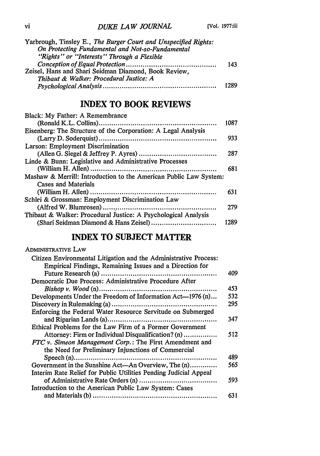| Yarbrough, Tinsley E., The Burger Court and Unspecified Rights: |      |
|-----------------------------------------------------------------|------|
| On Protecting Fundamental and Not-so-Fundamental                |      |
| "Rights" or "Interests" Through a Flexible                      |      |
|                                                                 | 143  |
| Zeisel, Hans and Shari Seidman Diamond, Book Review,            |      |
| Thibaut & Walker: Procedural Justice: A                         |      |
|                                                                 | 1289 |

## **INDEX TO BOOK REVIEWS**

| Black: My Father: A Remembrance                                                          | 1087 |
|------------------------------------------------------------------------------------------|------|
| Eisenberg: The Structure of the Corporation: A Legal Analysis                            |      |
| Larson: Employment Discrimination                                                        | 933  |
|                                                                                          | 287  |
| Linde & Bunn: Legislative and Administrative Processes                                   |      |
|                                                                                          | 681  |
| Mashaw & Merrill: Introduction to the American Public Law System:<br>Cases and Materials |      |
|                                                                                          | 631  |
| Schlei & Grossman: Employment Discrimination Law                                         |      |
|                                                                                          | 279  |
| Thibaut & Walker: Procedural Justice: A Psychological Analysis                           | 1289 |

## **INDEX TO SUBJECT MATTER**

| ADMINISTRATIVE LAW                                               |     |
|------------------------------------------------------------------|-----|
| Citizen Environmental Litigation and the Administrative Process: |     |
| Empirical Findings, Remaining Issues and a Direction for         |     |
|                                                                  | 409 |
| Democratic Due Process: Administrative Procedure After           |     |
|                                                                  | 453 |
| Developments Under the Freedom of Information Act-1976 (n)       | 532 |
|                                                                  | 295 |
| Enforcing the Federal Water Resource Servitude on Submerged      |     |
|                                                                  | 347 |
| Ethical Problems for the Law Firm of a Former Government         |     |
| Attorney: Firm or Individual Disqualification? (n)               | 512 |
| FTC v. Simeon Management Corp.: The First Amendment and          |     |
| the Need for Preliminary Injunctions of Commercial               |     |
|                                                                  | 489 |
| Government in the Sunshine Act—An Overview, The (n)              | 565 |
| Interim Rate Relief for Public Utilities Pending Judicial Appeal |     |
|                                                                  | 593 |
| Introduction to the American Public Law System: Cases            |     |
|                                                                  | 631 |
|                                                                  |     |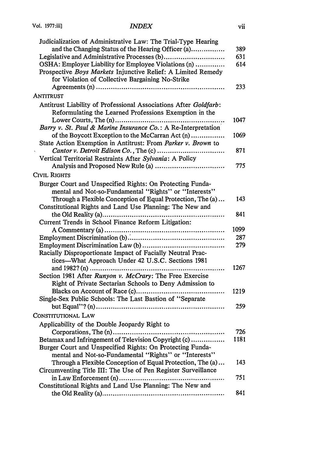| Judicialization of Administrative Law: The Trial-Type Hearing                                                    |      |
|------------------------------------------------------------------------------------------------------------------|------|
| and the Changing Status of the Hearing Officer (a)                                                               | 389  |
|                                                                                                                  | 631  |
| OSHA: Employer Liability for Employee Violations (n)                                                             | 614  |
| Prospective Boys Markets Injunctive Relief: A Limited Remedy<br>for Violation of Collective Bargaining No-Strike |      |
|                                                                                                                  | 233  |
| ANTITRUST                                                                                                        |      |
| Antitrust Liability of Professional Associations After Goldfarb:                                                 |      |
| Reformulating the Learned Professions Exemption in the                                                           |      |
|                                                                                                                  | 1047 |
| Barry v. St. Paul & Marine Insurance Co.: A Re-Interpretation                                                    |      |
| of the Boycott Exception to the McCarran Act (n)                                                                 | 1069 |
| State Action Exemption in Antitrust: From Parker v. Brown to                                                     |      |
|                                                                                                                  | 871  |
| Vertical Territorial Restraints After Sylvania: A Policy                                                         |      |
|                                                                                                                  | 775  |
| CIVIL RIGHTS                                                                                                     |      |
| Burger Court and Unspecified Rights: On Protecting Funda-                                                        |      |
| mental and Not-so-Fundamental "Rights" or "Interests"                                                            |      |
| Through a Flexible Conception of Equal Protection, The (a)                                                       | 143  |
| Constitutional Rights and Land Use Planning: The New and                                                         |      |
|                                                                                                                  | 841  |
| Current Trends in School Finance Reform Litigation:                                                              |      |
|                                                                                                                  | 1099 |
|                                                                                                                  | 287  |
|                                                                                                                  | 279  |
| Racially Disproportionate Impact of Facially Neutral Prac-                                                       |      |
| tices—What Approach Under 42 U.S.C. Sections 1981                                                                |      |
| and 1982? (n)                                                                                                    | 1267 |
| Section 1981 After Runyon v. McCrary: The Free Exercise                                                          |      |
| Right of Private Sectarian Schools to Deny Admission to                                                          |      |
| Blacks on Account of Race (c)                                                                                    | 1219 |
| Single-Sex Public Schools: The Last Bastion of "Separate"                                                        |      |
|                                                                                                                  | 259  |
| CONSTITUTIONAL LAW                                                                                               |      |
| Applicability of the Double Jeopardy Right to                                                                    |      |
|                                                                                                                  | 726  |
| Betamax and Infringement of Television Copyright (c)                                                             | 1181 |
| Burger Court and Unspecified Rights: On Protecting Funda-                                                        |      |
| mental and Not-so-Fundamental "Rights" or "Interests"                                                            |      |
| Through a Flexible Conception of Equal Protection, The (a)                                                       | 143  |
| Circumventing Title III: The Use of Pen Register Surveillance                                                    |      |
|                                                                                                                  | 751  |
| Constitutional Rights and Land Use Planning: The New and                                                         |      |
|                                                                                                                  | 841  |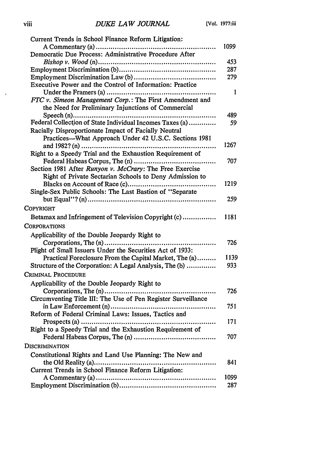| Current Trends in School Finance Reform Litigation:                                                           |      |
|---------------------------------------------------------------------------------------------------------------|------|
|                                                                                                               | 1099 |
| Democratic Due Process: Administrative Procedure After                                                        |      |
|                                                                                                               | 453  |
|                                                                                                               | 287  |
|                                                                                                               | 279  |
| Executive Power and the Control of Information: Practice                                                      |      |
| Under the Framers (a)                                                                                         | I    |
| FTC v. Simeon Management Corp.: The First Amendment and<br>the Need for Preliminary Injunctions of Commercial |      |
|                                                                                                               | 489  |
| Federal Collection of State Individual Incomes Taxes (a)                                                      | 59   |
| Racially Disproportionate Impact of Facially Neutral                                                          |      |
| Practices—What Approach Under 42 U.S.C. Sections 1981                                                         |      |
|                                                                                                               | 1267 |
| Right to a Speedy Trial and the Exhaustion Requirement of                                                     |      |
|                                                                                                               | 707  |
| Section 1981 After Runyon v. McCrary: The Free Exercise                                                       |      |
| Right of Private Sectarian Schools to Deny Admission to                                                       |      |
|                                                                                                               | 1219 |
| Single-Sex Public Schools: The Last Bastion of "Separate                                                      |      |
|                                                                                                               | 259  |
| Copyright                                                                                                     |      |
| Betamax and Infringement of Television Copyright (c)                                                          | 1181 |
| Corporations                                                                                                  |      |
| Applicability of the Double Jeopardy Right to                                                                 |      |
|                                                                                                               | 726  |
| Plight of Small Issuers Under the Securities Act of 1933:                                                     |      |
| Practical Foreclosure From the Capital Market, The (a)                                                        | 1139 |
| Structure of the Corporation: A Legal Analysis, The (b)                                                       | 933  |
| CRIMINAL PROCEDURE                                                                                            |      |
| Applicability of the Double Jeopardy Right to                                                                 |      |
| Corporations, The (n)                                                                                         | 726  |
| Circumventing Title III: The Use of Pen Register Surveillance                                                 |      |
|                                                                                                               | 751  |
| Reform of Federal Criminal Laws: Issues, Tactics and                                                          |      |
|                                                                                                               | 171  |
| Right to a Speedy Trial and the Exhaustion Requirement of                                                     |      |
|                                                                                                               | 707  |
| DISCRIMINATION                                                                                                |      |
|                                                                                                               |      |
| Constitutional Rights and Land Use Planning: The New and                                                      | 841  |
| Current Trends in School Finance Reform Litigation:                                                           |      |
|                                                                                                               | 1099 |
|                                                                                                               | 287  |
|                                                                                                               |      |

 $\sim$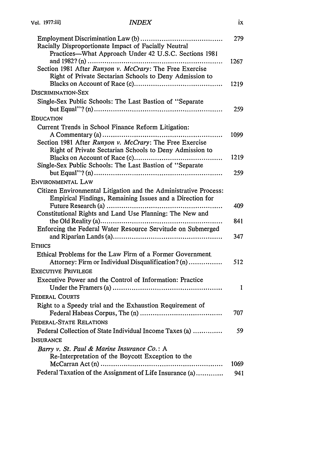| Racially Disproportionate Impact of Facially Neutral<br>Practices—What Approach Under 42 U.S.C. Sections 1981      | 279          |
|--------------------------------------------------------------------------------------------------------------------|--------------|
| Section 1981 After Runyon v. McCrary: The Free Exercise<br>Right of Private Sectarian Schools to Deny Admission to | 1267<br>1219 |
| DISCRIMINATION-SEX                                                                                                 |              |
| Single-Sex Public Schools: The Last Bastion of "Separate                                                           |              |
|                                                                                                                    | 259          |
| EDUCATION                                                                                                          |              |
| Current Trends in School Finance Reform Litigation:<br>.                                                           | 1099         |
| Section 1981 After Runyon v. McCrary: The Free Exercise<br>Right of Private Sectarian Schools to Deny Admission to |              |
| Single-Sex Public Schools: The Last Bastion of "Separate                                                           | 1219         |
|                                                                                                                    | 259          |
| ENVIRONMENTAL LAW                                                                                                  |              |
| Citizen Environmental Litigation and the Administrative Process:                                                   |              |
| Empirical Findings, Remaining Issues and a Direction for                                                           |              |
| Constitutional Rights and Land Use Planning: The New and                                                           | 409          |
|                                                                                                                    | 841          |
| Enforcing the Federal Water Resource Servitude on Submerged                                                        | 347          |
| <b>ETHICS</b>                                                                                                      |              |
| Ethical Problems for the Law Firm of a Former Government.<br>Attorney: Firm or Individual Disqualification? (n)    | 512          |
| <b>EXECUTIVE PRIVILEGE</b>                                                                                         |              |
| Executive Power and the Control of Information: Practice                                                           | 1            |
| <b>FEDERAL COURTS</b>                                                                                              |              |
| Right to a Speedy trial and the Exhaustion Requirement of                                                          | 707          |
| FEDERAL-STATE RELATIONS                                                                                            |              |
| Federal Collection of State Individual Income Taxes (a)                                                            | 59           |
| INSURANCE                                                                                                          |              |
| Barry v. St. Paul & Marine Insurance Co.: A<br>Re-Interpretation of the Boycott Exception to the                   |              |
|                                                                                                                    | 1069         |
| Federal Taxation of the Assignment of Life Insurance (a)                                                           | 941          |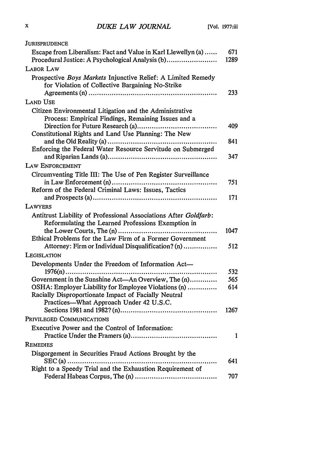| JURISPRUDENCE                                                                                                                                           |             |
|---------------------------------------------------------------------------------------------------------------------------------------------------------|-------------|
| Escape from Liberalism: Fact and Value in Karl Llewellyn (a)<br>Procedural Justice: A Psychological Analysis (b)                                        | 671<br>1289 |
| <b>LABOR LAW</b>                                                                                                                                        |             |
| Prospective Boys Markets Injunctive Relief: A Limited Remedy<br>for Violation of Collective Bargaining No-Strike                                        | 233         |
| <b>LAND USE</b>                                                                                                                                         |             |
| Citizen Environmental Litigation and the Administrative<br>Process: Empirical Findings, Remaining Issues and a                                          | 409         |
| Constitutional Rights and Land Use Planning: The New                                                                                                    |             |
| Enforcing the Federal Water Resource Servitude on Submerged                                                                                             | 841<br>347  |
| LAW ENFORCEMENT                                                                                                                                         |             |
| Circumventing Title III: The Use of Pen Register Surveillance                                                                                           |             |
|                                                                                                                                                         | 751         |
| Reform of the Federal Criminal Laws: Issues, Tactics                                                                                                    |             |
|                                                                                                                                                         | 171         |
| <b>LAWYERS</b>                                                                                                                                          |             |
| Antitrust Liability of Professional Associations After Goldfarb:<br>Reformulating the Learned Professions Exemption in                                  |             |
| Ethical Problems for the Law Firm of a Former Government                                                                                                | 1047        |
| Attorney: Firm or Individual Disqualification? (n)                                                                                                      | 512         |
| LEGISLATION                                                                                                                                             |             |
| Developments Under the Freedom of Information Act-                                                                                                      |             |
|                                                                                                                                                         | 532         |
| Government in the Sunshine Act—An Overview, The (n)                                                                                                     | 565         |
| OSHA: Employer Liability for Employee Violations (n)<br>Racially Disproportionate Impact of Facially Neutral<br>Practices—What Approach Under 42 U.S.C. | 614         |
|                                                                                                                                                         | 1267        |
| PRIVILEGED COMMUNICATIONS                                                                                                                               |             |
| Executive Power and the Control of Information:                                                                                                         |             |
|                                                                                                                                                         | 1           |
| <b>REMEDIES</b>                                                                                                                                         |             |
| Disgorgement in Securities Fraud Actions Brought by the<br>$SEC(a)$                                                                                     | 641         |
| Right to a Speedy Trial and the Exhaustion Requirement of                                                                                               | 707         |
|                                                                                                                                                         |             |

 $\boldsymbol{\mathrm{x}}$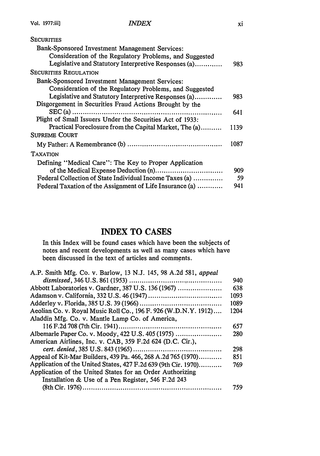## **SECURITIES** Bank-Sponsored Investment Management Services: Consideration of the Regulatory Problems, and Suggested Legislative and Statutory Interpretive Responses (a) ............. 983 SECURITIES **REGULATION** Bank-Sponsored Investment Management Services: Consideration of the Regulatory Problems, and Suggested Legislative and Statutory Interpretive Responses (a) ............. 983 Disgorgement in Securities Fraud Actions Brought by the SE C (a) ....................................................................... 641 Plight of Small Issuers Under the Securities Act of 1933: Practical Foreclosure from the Capital Market, The (a) ... ... 1139 **SUPREME COURT** My Father: **A** Remembrance **(b)** ............................................. 1087 TAXATION Defining "Medical Care": The Key to Proper Application of the Medical Expense Deduction (n) ................................ 909 Federal Collection of State Individual Income Taxes (a) .............. 59 Federal Taxation of the Assignment of Life Insurance (a) ............ 941

## **INDEX TO CASES**

In this Index will be found cases which have been the subjects of notes and recent developments as well as many cases which have been discussed in the text of articles and comments.

| A.P. Smith Mfg. Co. v. Barlow, 13 N.J. 145, 98 A.2d 581, appeal |      |
|-----------------------------------------------------------------|------|
|                                                                 | 940  |
| Abbott Laboratories v. Gardner, 387 U.S. 136 (1967)             | 638  |
|                                                                 | 1093 |
|                                                                 | 1089 |
| Aeolian Co. v. Royal Music Roll Co., 196 F. 926 (W.D.N.Y. 1912) | 1204 |
| Aladdin Mfg. Co. v. Mantle Lamp Co. of America,                 |      |
|                                                                 | 657  |
|                                                                 | 280  |
| American Airlines, Inc. v. CAB, 359 F.2d 624 (D.C. Cir.),       |      |
|                                                                 | 298  |
| Appeal of Kit-Mar Builders, 439 Pa. 466, 268 A.2d 765 (1970)    | 851  |
| Application of the United States, 427 F.2d 639 (9th Cir. 1970)  | 769  |
| Application of the United States for an Order Authorizing       |      |
| Installation & Use of a Pen Register, 546 F.2d 243              |      |
|                                                                 | 759  |
|                                                                 |      |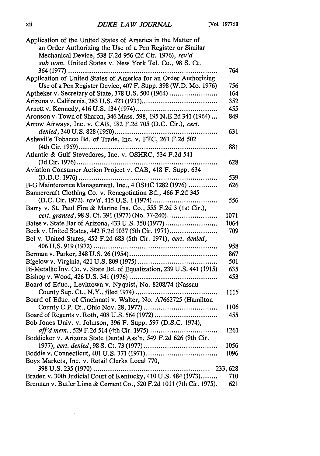| Application of the United States of America in the Matter of           |          |
|------------------------------------------------------------------------|----------|
| an Order Authorizing the Use of a Pen Register or Similar              |          |
| Mechanical Device, 538 F.2d 956 (2d Cir. 1976), rev'd                  |          |
| sub nom. United States v. New York Tel. Co., 98 S. Ct.                 |          |
| 364 (1977)                                                             | 764      |
| Application of United States of America for an Order Authorizing       |          |
| Use of a Pen Register Device, 407 F. Supp. 398 (W.D. Mo. 1976)         | 756      |
| Aptheker v. Secretary of State, 378 U.S. 500 (1964)                    | 164      |
|                                                                        | 352      |
|                                                                        | 455      |
| Aronson v. Town of Sharon, 346 Mass. 598, 195 N.E.2d 341 (1964)        | 849      |
|                                                                        |          |
| Arrow Airways, Inc. v. CAB, 182 F.2d 705 (D.C. Cir.), cert.            |          |
| denied, 340 U.S. 828 (1950)                                            | 631      |
| Asheville Tobacco Bd. of Trade, Inc. v. FTC, 263 F.2d 502              |          |
|                                                                        | 881      |
| Atlantic & Gulf Stevedores, Inc. v. OSHRC, 534 F.2d 541                |          |
|                                                                        | 628      |
| Aviation Consumer Action Project v. CAB, 418 F. Supp. 634              |          |
|                                                                        | 539      |
| B-G Maintenance Management, Inc., 4 OSHC 1282 (1976)                   | 626      |
| Bannercraft Clothing Co. v. Renegotiation Bd., 466 F.2d 345            |          |
|                                                                        | 556      |
| Barry v. St. Paul Fire & Marine Ins. Co., 555 F.2d 3 (1st Cir.),       |          |
| cert. granted, 98 S. Ct. 391 (1977) (No. 77-240)                       | 1071     |
| Bates v. State Bar of Arizona, 433 U.S. 350 (1977)                     | 1064     |
| Beck v. United States, 442 F.2d 1037 (5th Cir. 1971)                   | 709      |
| Bel v. United States, 452 F.2d 683 (5th Cir. 1971), cert. denied,      |          |
|                                                                        | 958      |
|                                                                        | 867      |
|                                                                        | 501      |
| Bi-Metallic Inv. Co. v. State Bd. of Equalization, 239 U.S. 441 (1915) | 635      |
|                                                                        | 453      |
| Board of Educ., Levittown v. Nyquist, No. 8208/74 (Nassau              |          |
|                                                                        | 1115     |
| Board of Educ. of Cincinnati v. Walter, No. A7662725 (Hamilton         |          |
|                                                                        | 1106     |
|                                                                        |          |
| Board of Regents v. Roth, 408 U.S. 564 (1972)                          | 455      |
| Bob Jones Univ. v. Johnson, 396 F. Supp. 597 (D.S.C. 1974),            |          |
| aff'd mem., 529 F.2d 514 (4th Cir. 1975)                               | 1261     |
| Boddicker v. Arizona State Dental Ass'n, 549 F.2d 626 (9th Cir.        |          |
|                                                                        | 1056     |
|                                                                        | 1096     |
| Boys Markets, Inc. v. Retail Clerks Local 770,                         |          |
| 398 U.S. 235 (1970)                                                    | 233, 628 |
| Braden v. 30th Judicial Court of Kentucky, 410 U.S. 484 (1973)         | 710      |
| Brennan v. Butler Lime & Cement Co., 520 F.2d 1011 (7th Cir. 1975).    | 621      |

 $\mathcal{L}(\mathcal{A})$  .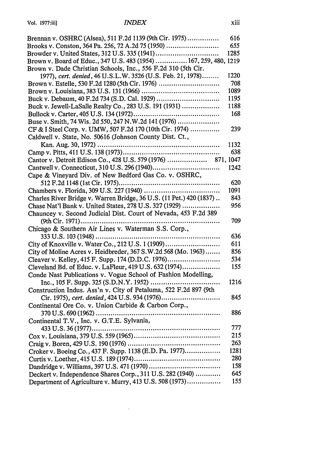| Brennan v. OSHRC (Alsea), 511 F.2d 1139 (9th Cir. 1975)              | 616  |
|----------------------------------------------------------------------|------|
| Brooks v. Conston, 364 Pa. 256, 72 A.2d 75 (1950)                    | 655  |
|                                                                      | 1285 |
| Brown v. Board of Educ., 347 U.S. 483 (1954)  167, 259, 480, 1219    |      |
| Brown v. Dade Christian Schools, Inc., 556 F.2d 310 (5th Cir.        |      |
| 1977), cert. denied, 46 U.S.L.W. 3526 (U.S. Feb. 21, 1978)           | 1220 |
| Brown v. Estelle, 530 F.2d 1280 (5th Cir. 1976)                      | 708  |
|                                                                      | 1089 |
|                                                                      | 1195 |
| Buck v. Jewell-LaSalle Realty Co., 283 U.S. 191 (1931)               | 1188 |
|                                                                      | 168  |
| Buse v. Smith, 74 Wis. 2d 550, 247 N.W.2d 141 (1976)                 |      |
| CF & I Steel Corp. v. UMW, 507 F.2d 170 (10th Cir. 1974)             | 239  |
| Caldwell v. State, No. 50616 (Johnson County Dist. Ct.,              |      |
| Kan. Aug. 30, 1972)                                                  | 1132 |
|                                                                      | 638  |
|                                                                      |      |
|                                                                      | 1242 |
| Cape & Vineyard Div. of New Bedford Gas Co. v. OSHRC,                |      |
|                                                                      | 620  |
|                                                                      | 1091 |
| Charles River Bridge v. Warren Bridge, 36 U.S. (11 Pet.) 420 (1837). | 843  |
| Chase Nat'l Bank v. United States, 278 U.S. 327 (1929)               | 956  |
| Chauncey v. Second Judicial Dist. Court of Nevada, 453 F.2d 389      |      |
| (9th Cir. 1971)                                                      | 709  |
| Chicago & Southern Air Lines v. Waterman S.S. Corp.,                 |      |
|                                                                      | 636  |
| City of Knoxville v. Water Co., 212 U.S. 1 (1909)                    | 611  |
| City of Moline Acres v. Heidbreder, 367 S.W.2d 568 (Mo. 1963)        | 856  |
| Cleaver v. Kelley, 415 F. Supp. 174 (D.D.C. 1976)                    | 534  |
| Cleveland Bd. of Educ. v. LaFleur, 419 U.S. 632 (1974)               | 155  |
| Conde Nast Publications v. Vogue School of Fashion Modelling,        |      |
|                                                                      | 1216 |
| Construction Indus. Ass'n v. City of Petaluma, 522 F.2d 897 (9th     |      |
| Cir. 1975), cert. denied, 424 U.S. 934 (1976)                        | 845  |
| Continental Ore Co. v. Union Carbide & Carbon Corp.,                 |      |
|                                                                      | 886  |
| Continental T.V., Inc. v. G.T.E. Sylvania,                           |      |
|                                                                      | 777  |
|                                                                      | 215  |
|                                                                      | 263  |
| Croker v. Boeing Co., 437 F. Supp. 1138 (E.D. Pa. 1977)              | 1281 |
|                                                                      | 280  |
|                                                                      | 158  |
| Deckert v. Independence Shares Corp., 311 U.S. 282 (1940)            | 645  |
| Department of Agriculture v. Murry, 413 U.S. 508 (1973)              | 155  |
|                                                                      |      |

 $\sim 10^{-10}$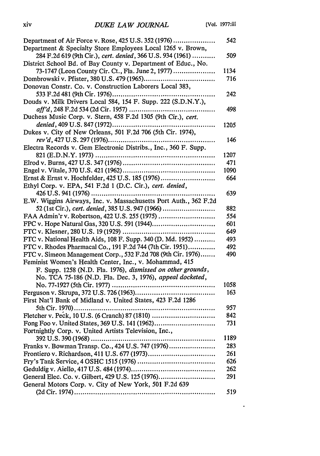$\sim$   $-$ 

| Department of Air Force v. Rose, 425 U.S. 352 (1976)             | 542  |
|------------------------------------------------------------------|------|
| Department & Specialty Store Employees Local 1265 v. Brown,      |      |
| 284 F.2d 619 (9th Cir.), cert. denied, 366 U.S. 934 (1961)       | 509  |
| District School Bd. of Bay County v. Department of Educ., No.    |      |
| 73-1747 (Leon County Cir. Ct., Fla. June 2, 1977)                | 1134 |
|                                                                  | 716  |
| Donovan Constr. Co. v. Construction Laborers Local 383,          |      |
| 533 F.2d 481 (9th Cir. 1976)                                     | 242  |
| Douds v. Milk Drivers Local 584, 154 F. Supp. 222 (S.D.N.Y.),    |      |
| aff'd, 248 F.2d 534 (2d Cir. 1957)                               | 498  |
| Duchess Music Corp. v. Stern, 458 F.2d 1305 (9th Cir.), cert.    |      |
| denied, 409 U.S. 847 (1972)<br>.                                 | 1205 |
| Dukes v. City of New Orleans, 501 F.2d 706 (5th Cir. 1974),      |      |
|                                                                  | 146  |
| Electra Records v. Gem Electronic Distribs., Inc., 360 F. Supp.  |      |
|                                                                  | 1207 |
|                                                                  | 471  |
|                                                                  | 1090 |
| Ernst & Ernst v. Hochfelder, 425 U.S. 185 (1976)                 | 664  |
| Ethyl Corp. v. EPA, 541 F.2d 1 (D.C. Cir.), cert. denied,        |      |
|                                                                  | 639  |
| E.W. Wiggins Airways, Inc. v. Massachusetts Port Auth., 362 F.2d |      |
| 52 (1st Cir.), cert. denied, 385 U.S. 947 (1966)                 | 882  |
| FAA Admin'r v. Robertson, 422 U.S. 255 (1975)                    | 554  |
|                                                                  | 601  |
|                                                                  | 649  |
| FTC v. National Health Aids, 108 F. Supp. 340 (D. Md. 1952)      | 493  |
| FTC v. Rhodes Pharmacal Co., 191 F.2d 744 (7th Cir. 1951)        | 492  |
| FTC v. Simeon Management Corp., 532 F.2d 708 (9th Cir. 1976)     | 490  |
| Feminist Women's Health Center, Inc., v. Mohammad, 415           |      |
| F. Supp. 1258 (N.D. Fla. 1976), dismissed on other grounds,      |      |
| No. TCA 75-186 (N.D. Fla. Dec. 3, 1976), appeal docketed,        |      |
|                                                                  | 1058 |
|                                                                  | 163  |
| First Nat'l Bank of Midland v. United States, 423 F.2d 1286      |      |
|                                                                  | 957  |
| Fletcher v. Peck, 10 U.S. (6 Cranch) 87 (1810)                   | 842  |
| Fong Foo v. United States, 369 U.S. 141 (1962)                   | 731  |
| Fortnightly Corp. v. United Artists Television, Inc.,            |      |
| 392 U.S. 390 (1968)                                              | 1189 |
| Franks v. Bowman Transp. Co., 424 U.S. 747 (1976)                | 283  |
|                                                                  | 261  |
|                                                                  | 626  |
|                                                                  | 262  |
| General Elec. Co. v. Gilbert, 429 U.S. 125 (1976)                | 291  |
| General Motors Corp. v. City of New York, 501 F.2d 639           |      |
|                                                                  | 519  |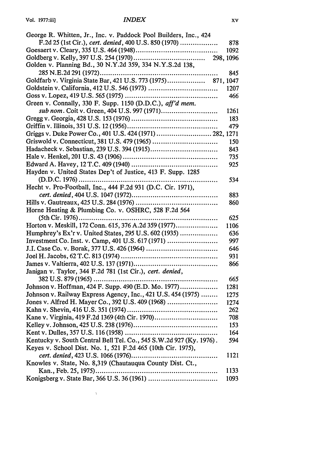| George R. Whitten, Jr., Inc. v. Paddock Pool Builders, Inc., 424    |      |
|---------------------------------------------------------------------|------|
| F.2d 25 (1st Cir.), cert. denied, 400 U.S. 850 (1970)               | 878  |
|                                                                     | 1092 |
|                                                                     |      |
| Golden v. Planning Bd., 30 N.Y.2d 359, 334 N.Y.S.2d 138,            |      |
|                                                                     | 845  |
|                                                                     |      |
|                                                                     | 1207 |
|                                                                     | 466  |
| Green v. Connally, 330 F. Supp. 1150 (D.D.C.), aff'd mem.           |      |
|                                                                     | 1261 |
|                                                                     | 183  |
|                                                                     | 479  |
|                                                                     |      |
| Griswold v. Connecticut, 381 U.S. 479 (1965)                        | 150  |
|                                                                     | 843  |
|                                                                     | 735  |
|                                                                     | 925  |
| Hayden v. United States Dep't of Justice, 413 F. Supp. 1285         |      |
| $(D.D.C. 1976)$<br>                                                 | 534  |
| Hecht v. Pro-Football, Inc., 444 F.2d 931 (D.C. Cir. 1971),         |      |
|                                                                     | 883  |
|                                                                     | 860  |
| Horne Heating & Plumbing Co. v. OSHRC, 528 F.2d 564                 |      |
| (5th Cir. 1976)<br>.                                                | 625  |
| Horton v. Meskill, 172 Conn. 615, 376 A.2d 359 (1977)               | 1106 |
| Humphrey's Ex'r v. United States, 295 U.S. 602 (1935)               | 636  |
| Investment Co. Inst. v. Camp, 401 U.S. 617 (1971)                   | 997  |
|                                                                     | 646  |
|                                                                     | 931  |
|                                                                     | 866  |
| Janigan v. Taylor, 344 F.2d 781 (1st Cir.), cert. denied,           |      |
| .                                                                   | 665  |
| Johnson v. Hoffman, 424 F. Supp. 490 (E.D. Mo. 1977)                | 1281 |
| Johnson v. Railway Express Agency, Inc., 421 U.S. 454 (1975)        | 1275 |
| Jones v. Alfred H. Mayer Co., 392 U.S. 409 (1968)                   | 1274 |
|                                                                     | 262  |
| Kane v. Virginia, 419 F.2d 1369 (4th Cir. 1970)                     | 708  |
|                                                                     | 153  |
|                                                                     | 164  |
| Kentucky v. South Central Bell Tel. Co., 545 S.W.2d 927 (Ky. 1976). | 594  |
| Keyes v. School Dist. No. 1, 521 F.2d 465 (10th Cir. 1975),         |      |
|                                                                     | 1121 |
| Knowles v. State, No. 8,319 (Chautauqua County Dist. Ct.,           |      |
|                                                                     | 1133 |
|                                                                     | 1093 |
|                                                                     |      |

 $\label{eq:1} \Delta_{\rm{max}} = \frac{1}{2} \sum_{i=1}^{N} \frac{1}{2} \sum_{i=1}^{N} \frac{1}{2} \sum_{i=1}^{N} \frac{1}{2} \sum_{i=1}^{N} \frac{1}{2} \sum_{i=1}^{N} \frac{1}{2} \sum_{i=1}^{N} \frac{1}{2} \sum_{i=1}^{N} \frac{1}{2} \sum_{i=1}^{N} \frac{1}{2} \sum_{i=1}^{N} \frac{1}{2} \sum_{i=1}^{N} \frac{1}{2} \sum_{i=1}^{N} \frac{1}{2} \sum_{i=1}^{N}$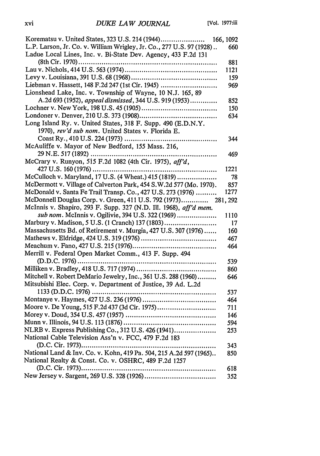|                                                                                                             | 166, 1092 |
|-------------------------------------------------------------------------------------------------------------|-----------|
| L.P. Larson, Jr. Co. v. William Wrigley, Jr. Co., 277 U.S. 97 (1928)                                        | 660       |
| Ladue Local Lines, Inc. v. Bi-State Dev. Agency, 433 F.2d 131                                               |           |
|                                                                                                             | 881       |
|                                                                                                             | 1121      |
|                                                                                                             | 159       |
| Liebman v. Hassett, 148 F.2d 247 (1st Cir. 1945)                                                            | 969       |
| Lionshead Lake, Inc. v. Township of Wayne, 10 N.J. 165, 89                                                  |           |
| A.2d 693 (1952), appeal dismissed, 344 U.S. 919 (1953)                                                      | 852       |
|                                                                                                             | 150       |
|                                                                                                             | 634       |
| Long Island Ry. v. United States, 318 F. Supp. 490 (E.D.N.Y.                                                |           |
| 1970), rev'd sub nom. United States v. Florida E.                                                           |           |
| Coast Ry., 410 U.S. 224 (1973)<br>                                                                          | 344       |
| McAuliffe v. Mayor of New Bedford, 155 Mass. 216,                                                           |           |
| 29 N.E. 517 (1892)                                                                                          | 469       |
| McCrary v. Runyon, 515 F.2d 1082 (4th Cir. 1975), aff'd,                                                    |           |
| $427 \text{ U.S. } 160 \, (1976) \dots$<br>.                                                                | 1221      |
| McCulloch v. Maryland, 17 U.S. (4 Wheat.) 415 (1819)                                                        | 78        |
| McDermott v. Village of Calverton Park, 454 S.W.2d 577 (Mo. 1970).                                          | 857       |
| McDonald v. Santa Fe Trail Transp. Co., 427 U.S. 273 (1976)                                                 | 1277      |
| McDonnell Douglas Corp. v. Green, 411 U.S. 792 (1973)                                                       | 281, 292  |
| McInnis v. Shapiro, 293 F. Supp. 327 (N.D. Ill. 1968), aff'd mem.                                           |           |
| sub nom. McInnis v. Ogilivie, 394 U.S. 322 (1969)                                                           | 1110      |
| Marbury v. Madison, 5 U.S. (1 Cranch) 137 (1803)                                                            | 17        |
| Massachusetts Bd. of Retirement v. Murgia, 427 U.S. 307 (1976)                                              | 160       |
|                                                                                                             | 467       |
|                                                                                                             | 464       |
| Merrill v. Federal Open Market Comm., 413 F. Supp. 494                                                      |           |
|                                                                                                             | 539       |
|                                                                                                             | 860       |
| Mitchell v. Robert DeMario Jewelry, Inc., 361 U.S. 288 (1960)                                               | 646       |
| Mitsubishi Elec. Corp. v. Department of Justice, 39 Ad. L.2d                                                |           |
|                                                                                                             | 537       |
|                                                                                                             | 464       |
| Moore v. De Young, 515 F.2d 437 (3d Cir. 1975)                                                              | 711       |
|                                                                                                             | 146       |
|                                                                                                             |           |
|                                                                                                             | 594       |
| NLRB v. Express Publishing Co., 312 U.S. 426 (1941)<br>National Cable Television Ass'n v. FCC, 479 F.2d 183 | 253       |
|                                                                                                             |           |
|                                                                                                             | 343       |
| National Land & Inv. Co. v. Kohn, 419 Pa. 504, 215 A.2d 597 (1965)                                          | 850       |
| National Realty & Const. Co. v. OSHRC, 489 F.2d 1257                                                        |           |
|                                                                                                             | 618       |
|                                                                                                             | 352       |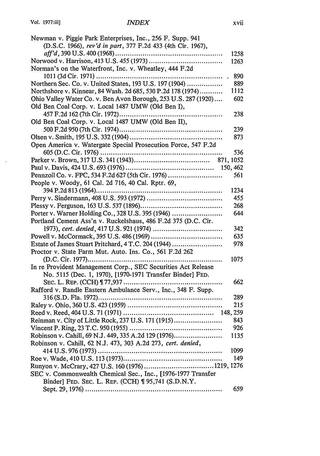$\sim$ 

| Newman v. Piggie Park Enterprises, Inc., 256 F. Supp. 941      |      |
|----------------------------------------------------------------|------|
| (D.S.C. 1966), rev'd in part, 377 F.2d 433 (4th Cir. 1967),    |      |
|                                                                | 1258 |
|                                                                | 1263 |
| Norman's on the Waterfront, Inc. v. Wheatley, 444 F.2d         |      |
| 1011 (3d Cir. 1971)<br>.                                       | 890  |
| Northern Sec. Co. v. United States, 193 U.S. 197 (1904)        | 889  |
| Northshore v. Kinnear, 84 Wash. 2d 685, 530 P.2d 178 (1974)    | 1112 |
| Ohio Valley Water Co. v. Ben Avon Borough, 253 U.S. 287 (1920) | 602  |
| Old Ben Coal Corp. v. Local 1487 UMW (Old Ben I),              |      |
| 457 F.2d 162 (7th Cir. 1972)<br>.                              | 238  |
| Old Ben Coal Corp. v. Local 1487 UMW (Old Ben II),             |      |
|                                                                | 239  |
|                                                                | 873  |
| Open America v. Watergate Special Prosecution Force, 547 F.2d  |      |
|                                                                | 536  |
|                                                                |      |
|                                                                |      |
| Pennzoil Co. v. FPC, 534 F.2d 627 (5th Cir. 1976)              | 561  |
| People v. Woody, 61 Cal. 2d 716, 40 Cal. Rptr. 69,             |      |
|                                                                | 1234 |
|                                                                | 455  |
|                                                                | 268  |
| Porter v. Warner Holding Co., 328 U.S. 395 (1946)              | 644  |
| Portland Cement Ass'n v. Ruckelshaus, 486 F.2d 375 (D.C. Cir.  |      |
|                                                                | 342  |
|                                                                | 635  |
| Estate of James Stuart Pritchard, 4 T.C. 204 (1944)            | 978  |
| Proctor v. State Farm Mut. Auto. Ins. Co., 561 F.2d 262        |      |
|                                                                | 1075 |
| In re Provident Management Corp., SEC Securities Act Release   |      |
| No. 5115 (Dec. 1, 1970), [1970-1971 Transfer Binder] FED.      |      |
|                                                                | 662  |
| Rafford v. Randle Eastern Ambulance Serv., Inc., 348 F. Supp.  |      |
|                                                                | 289  |
|                                                                | 215  |
|                                                                |      |
| Reinman v. City of Little Rock, 237 U.S. 171 (1915)            | 843  |
|                                                                | 926  |
| Robinson v. Cahill, 69 N.J. 449, 335 A.2d 129 (1976)           | 1135 |
| Robinson v. Cahill, 62 N.J. 473, 303 A.2d 273, cert. denied,   |      |
|                                                                | 1099 |
|                                                                | 149  |
| Runyon v. McCrary, 427 U.S. 160 (1976) 1219, 1276              |      |
| SEC v. Commonwealth Chemical Sec., Inc., [1976-1977 Transfer   |      |
| Binder] FED. SEC. L. REP. (CCH) ¶ 95,741 (S.D.N.Y.             |      |
|                                                                | 659  |
|                                                                |      |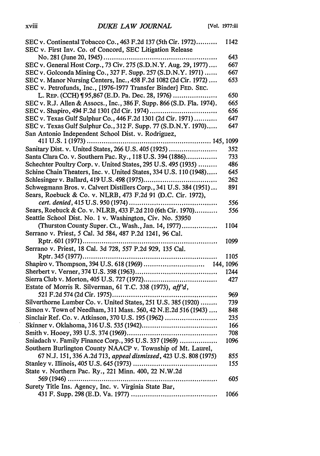| SEC v. Continental Tobacco Co., 463 F.2d 137 (5th Cir. 1972)          | 1142 |
|-----------------------------------------------------------------------|------|
| SEC v. First Inv. Co. of Concord, SEC Litigation Release              |      |
| No. 281 (June 20, 1945)                                               | 643  |
| SEC v. General Host Corp., 73 Civ. 275 (S.D.N.Y. Aug. 29, 1977)       | 667  |
| SEC v. Golconda Mining Co., 327 F. Supp. 257 (S.D.N.Y. 1971)          | 667  |
| SEC v. Manor Nursing Centers, Inc., 458 F.2d 1082 (2d Cir. 1972)      | 653  |
| SEC v. Petrofunds, Inc., [1976-1977 Transfer Binder] FED. SEC.        |      |
| L. REP. (CCH) 195,867 (E.D. Pa. Dec. 28, 1976)                        | 650  |
| SEC v. R.J. Allen & Assocs., Inc., 386 F. Supp. 866 (S.D. Fla. 1974). | 665  |
| SEC v. Shapiro, 494 F.2d 1301 (2d Cir. 1974)                          | 656  |
| SEC v. Texas Gulf Sulphur Co., 446 F.2d 1301 (2d Cir. 1971)           | 647  |
| SEC v. Texas Gulf Sulphur Co., 312 F. Supp. 77 (S.D.N.Y. 1970)        | 647  |
| San Antonio Independent School Dist. v. Rodriguez,                    |      |
| . 145, 1099<br>411 U.S. 1 (1973)                                      |      |
| Sanitary Dist. v. United States, 266 U.S. 405 (1925)                  | 352  |
| Santa Clara Co. v. Southern Pac. Ry., 118 U.S. 394 (1886)             | 733  |
| Schechter Poultry Corp. v. United States, 295 U.S. 495 (1935)         | 486  |
| Schine Chain Theaters, Inc. v. United States, 334 U.S. 110 (1948)     | 645  |
| Schlesinger v. Ballard, 419 U.S. 498 (1975)                           | 262  |
| Schwegmann Bros. v. Calvert Distillers Corp., 341 U.S. 384 (1951)     | 891  |
| Sears, Roebuck & Co. v. NLRB, 473 F.2d 91 (D.C. Cir. 1972),           |      |
| cert. denied, 415 U.S. 950 (1974)                                     | 556  |
| Sears, Roebuck & Co. v. NLRB, 433 F.2d 210 (6th Cir. 1970)            | 556  |
| Seattle School Dist. No. 1 v. Washington, Civ. No. 53950              |      |
| (Thurston County Super. Ct., Wash., Jan. 14, 1977)                    | 1104 |
| Serrano v. Priest, 5 Cal. 3d 584, 487 P.2d 1241, 96 Cal.              |      |
|                                                                       | 1099 |
| Serrano v. Priest, 18 Cal. 3d 728, 557 P.2d 929, 135 Cal.             |      |
|                                                                       | 1105 |
|                                                                       |      |
|                                                                       | 1244 |
|                                                                       | 427  |
| Estate of Morris R. Silverman, 61 T.C. 338 (1973), aff'd,             |      |
|                                                                       | 969  |
| Silverthorne Lumber Co. v. United States, 251 U.S. 385 (1920)         | 739  |
| Simon v. Town of Needham, 311 Mass. 560, 42 N.E.2d 516 (1943)         | 848  |
| Sinclair Ref. Co. v. Atkinson, 370 U.S. 195 (1962)                    | 235  |
|                                                                       | 166  |
|                                                                       | 708  |
| Sniadach v. Family Finance Corp., 395 U.S. 337 (1969)                 | 1096 |
| Southern Burlington County NAACP v. Township of Mt. Laurel,           |      |
| 67 N.J. 151, 336 A.2d 713, appeal dismissed, 423 U.S. 808 (1975)      | 855  |
|                                                                       | 155  |
| State v. Northern Pac. Ry., 221 Minn. 400, 22 N.W.2d                  |      |
| $569(1946)$                                                           | 605  |
| Surety Title Ins. Agency, Inc. v. Virginia State Bar,                 |      |
|                                                                       | 1066 |

 $\mathcal{L}$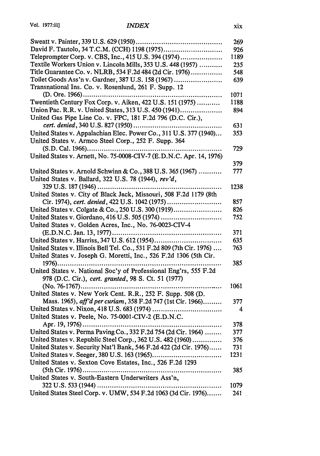|                                                                       | 269  |
|-----------------------------------------------------------------------|------|
| David F. Tautolo, 34 T.C.M. (CCH) 1198 (1975)                         | 926  |
| Teleprompter Corp. v. CBS, Inc., 415 U.S. 394 (1974)                  | 1189 |
| Textile Workers Union v. Lincoln Mills, 353 U.S. 448 (1957)           | 235  |
| Title Guarantee Co. v. NLRB, 534 F.2d 484 (2d Cir. 1976)              | 548  |
| Toilet Goods Ass'n v. Gardner, 387 U.S. 158 (1967)                    | 639  |
| Transnational Ins. Co. v. Rosenlund, 261 F. Supp. 12                  |      |
| $(D. Ore. 1966)$                                                      | 1071 |
| Twentieth Century Fox Corp. v. Aiken, 422 U.S. 151 (1975)             | 1188 |
| Union Pac. R.R. v. United States, 313 U.S. 450 (1941)                 | 894  |
| United Gas Pipe Line Co. v. FPC, 181 F.2d 796 (D.C. Cir.),            |      |
|                                                                       | 631  |
| United States v. Appalachian Elec. Power Co., 311 U.S. 377 (1940)     | 353  |
| United States v. Armco Steel Corp., 252 F. Supp. 364                  |      |
|                                                                       | 729  |
| United States v. Arnett, No. 75-0008-CIV-7 (E.D.N.C. Apr. 14, 1976)   |      |
|                                                                       | 379  |
| United States v. Arnold Schwinn & Co., 388 U.S. 365 (1967)            | 777  |
| United States v. Ballard, 322 U.S. 78 (1944), rev'd,                  |      |
|                                                                       | 1238 |
| United States v. City of Black Jack, Missouri, 508 F.2d 1179 (8th     |      |
| Cir. 1974), cert. denied, 422 U.S. 1042 (1975)                        | 857  |
| United States v. Colgate & Co., 250 U.S. 300 (1919)                   | 826  |
| United States v. Giordano, 416 U.S. 505 (1974)                        | 752  |
| United States v. Golden Acres, Inc., No. 76-0023-CIV-4                |      |
|                                                                       | 371  |
| United States v. Harriss, 347 U.S. 612 (1954)                         | 635  |
| United States v. Illinois Bell Tel. Co., 531 F.2d 809 (7th Cir. 1976) | 763  |
| United States v. Joseph G. Moretti, Inc., 526 F.2d 1306 (5th Cir.     |      |
|                                                                       | 385  |
| United States v. National Soc'y of Professional Eng'rs, 555 F.2d      |      |
| 978 (D.C. Cir.), cert. granted, 98 S. Ct. 51 (1977)                   |      |
|                                                                       | 1061 |
| United States v. New York Cent. R.R., 252 F. Supp. 508 (D.            |      |
| Mass. 1965), aff'd per curiam, 358 F.2d 747 (1st Cir. 1966)           | 377  |
|                                                                       | 4    |
| United States v. Peele, No. 75-0001-CIV-2 (E.D.N.C.                   |      |
|                                                                       | 378  |
| United States v. Perma Paving Co., 332 F.2d 754 (2d Cir. 1964)        | 377  |
| United States v. Republic Steel Corp., 362 U.S. 482 (1960)            | 376  |
| United States v. Security Nat'l Bank, 546 F.2d 422 (2d Cir. 1976)     | 731  |
|                                                                       | 1231 |
| United States v. Sexton Cove Estates, Inc., 526 F.2d 1293             |      |
|                                                                       | 385  |
| United States v. South-Eastern Underwriters Ass'n,                    |      |
|                                                                       | 1079 |
| United States Steel Corp. v. UMW, 534 F.2d 1063 (3d Cir. 1976)        | 241  |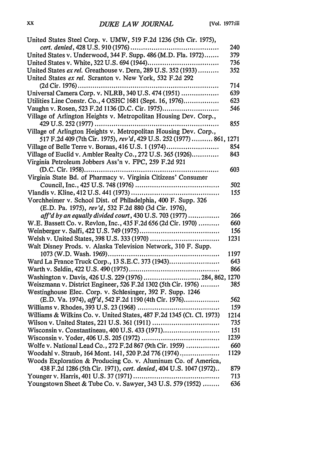| United States Steel Corp. v. UMW, 519 F.2d 1236 (5th Cir. 1975),      |      |
|-----------------------------------------------------------------------|------|
|                                                                       | 240  |
| United States v. Underwood, 344 F. Supp. 486 (M.D. Fla. 1972)         | 379  |
|                                                                       | 736  |
| United States ex rel. Greathouse v. Dern, 289 U.S. 352 (1933)         | 352  |
| United States ex rel. Scranton v. New York, 532 F.2d 292              |      |
| (2d Cir. 1976)<br>.                                                   | 714  |
| Universal Camera Corp. v. NLRB, 340 U.S. 474 (1951)                   | 639  |
| Utilities Line Constr. Co., 4 OSHC 1681 (Sept. 16, 1976)              | 623  |
| Vaughn v. Rosen, 523 F.2d 1136 (D.C. Cir. 1975)                       | 546  |
| Village of Arlington Heights v. Metropolitan Housing Dev. Corp.,      |      |
|                                                                       | 855  |
| Village of Arlington Heights v. Metropolitan Housing Dev. Corp.,      |      |
| 517 F.2d 409 (7th Cir. 1975), rev'd, 429 U.S. 252 (1977) 861, 1271    |      |
| Village of Belle Terre v. Boraas, 416 U.S. 1 (1974)                   | 854  |
| Village of Euclid v. Ambler Realty Co., 272 U.S. 365 (1926)           | 843  |
| Virginia Petroleum Jobbers Ass'n v. FPC, 259 F.2d 921                 |      |
|                                                                       | 603  |
| Virginia State Bd. of Pharmacy v. Virginia Citizens' Consumer         |      |
|                                                                       | 502  |
|                                                                       | 155  |
| Vorchheimer v. School Dist. of Philadelphia, 400 F. Supp. 326         |      |
| (E.D. Pa. 1975), rev'd, 532 F.2d 880 (3d Cir. 1976),                  |      |
| aff'd by an equally divided court, 430 U.S. 703 (1977)                | 266  |
| W.E. Bassett Co. v. Revlon, Inc., 435 F.2d 656 (2d Cir. 1970)         | 660  |
|                                                                       | 156  |
|                                                                       | 1231 |
| Walt Disney Prods. v. Alaska Television Network, 310 F. Supp.         |      |
|                                                                       | 1197 |
| Ward La France Truck Corp., 13 S.E.C. 373 (1943)                      | 643  |
|                                                                       | 866  |
| Washington v. Davis, 426 U.S. 229 (1976)  284, 862, 1270              |      |
| Weiszmann v. District Engineer, 526 F.2d 1302 (5th Cir. 1976)         | 385  |
| Westinghouse Elec. Corp. v. Schlesinger, 392 F. Supp. 1246            |      |
| (E.D. Va. 1974), aff'd, 542 F.2d 1190 (4th Cir. 1976)                 | 562  |
|                                                                       | 159  |
| Williams & Wilkins Co. v. United States, 487 F.2d 1345 (Ct. Cl. 1973) | 1214 |
|                                                                       | 735  |
| Wisconsin v. Constantineau, 400 U.S. 433 (1971)                       | 151  |
|                                                                       | 1239 |
| Wolfe v. National Lead Co., 272 F.2d 867 (9th Cir. 1959)              | 660  |
| Woodahl v. Straub, 164 Mont. 141, 520 P.2d 776 (1974)                 | 1129 |
| Woods Exploration & Producing Co. v. Aluminum Co. of America,         |      |
| 438 F.2d 1286 (5th Cir. 1971), cert. denied, 404 U.S. 1047 (1972)     | 879  |
|                                                                       | 713  |
| Youngstown Sheet & Tube Co. v. Sawyer, 343 U.S. 579 (1952)            | 636  |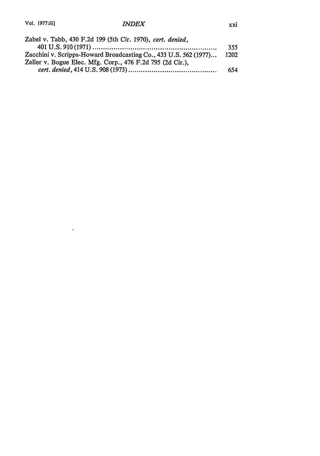$\sim 100$  km s  $^{-1}$ 

| Zabel v. Tabb, 430 F.2d 199 (5th Cir. 1970), cert. denied,       |      |
|------------------------------------------------------------------|------|
|                                                                  | 355  |
| Zacchini v. Scripps-Howard Broadcasting Co., 433 U.S. 562 (1977) | 1202 |
| Zeller v. Bogue Elec. Mfg. Corp., 476 F.2d 795 (2d Cir.),        |      |
|                                                                  | 654  |